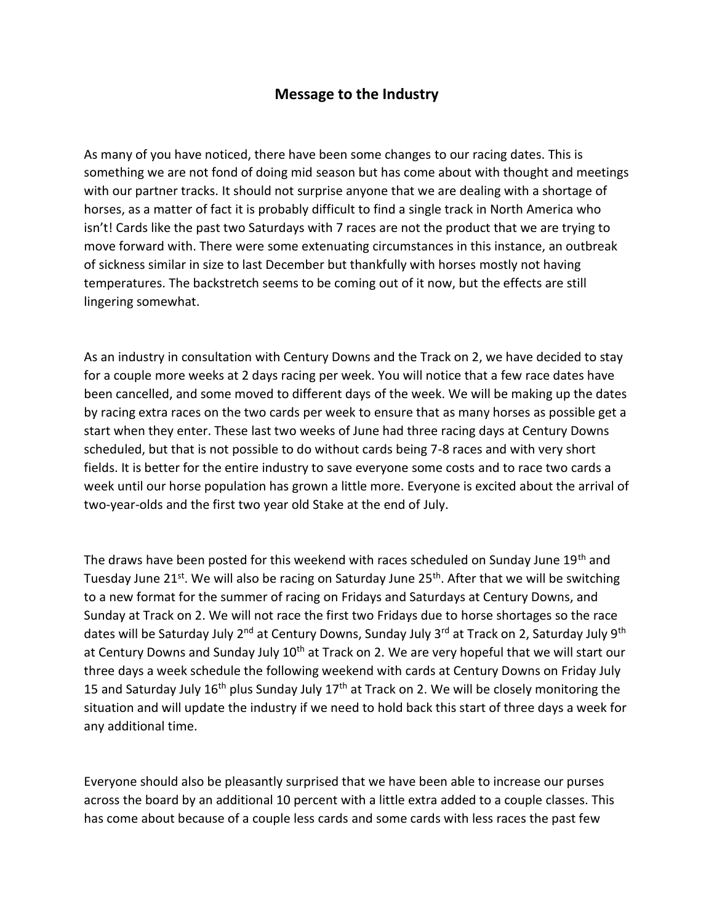## **Message to the Industry**

As many of you have noticed, there have been some changes to our racing dates. This is something we are not fond of doing mid season but has come about with thought and meetings with our partner tracks. It should not surprise anyone that we are dealing with a shortage of horses, as a matter of fact it is probably difficult to find a single track in North America who isn't! Cards like the past two Saturdays with 7 races are not the product that we are trying to move forward with. There were some extenuating circumstances in this instance, an outbreak of sickness similar in size to last December but thankfully with horses mostly not having temperatures. The backstretch seems to be coming out of it now, but the effects are still lingering somewhat.

As an industry in consultation with Century Downs and the Track on 2, we have decided to stay for a couple more weeks at 2 days racing per week. You will notice that a few race dates have been cancelled, and some moved to different days of the week. We will be making up the dates by racing extra races on the two cards per week to ensure that as many horses as possible get a start when they enter. These last two weeks of June had three racing days at Century Downs scheduled, but that is not possible to do without cards being 7-8 races and with very short fields. It is better for the entire industry to save everyone some costs and to race two cards a week until our horse population has grown a little more. Everyone is excited about the arrival of two-year-olds and the first two year old Stake at the end of July.

The draws have been posted for this weekend with races scheduled on Sunday June 19<sup>th</sup> and Tuesday June 21<sup>st</sup>. We will also be racing on Saturday June 25<sup>th</sup>. After that we will be switching to a new format for the summer of racing on Fridays and Saturdays at Century Downs, and Sunday at Track on 2. We will not race the first two Fridays due to horse shortages so the race dates will be Saturday July 2<sup>nd</sup> at Century Downs, Sunday July 3<sup>rd</sup> at Track on 2, Saturday July 9<sup>th</sup> at Century Downs and Sunday July 10<sup>th</sup> at Track on 2. We are very hopeful that we will start our three days a week schedule the following weekend with cards at Century Downs on Friday July 15 and Saturday July  $16<sup>th</sup>$  plus Sunday July  $17<sup>th</sup>$  at Track on 2. We will be closely monitoring the situation and will update the industry if we need to hold back this start of three days a week for any additional time.

Everyone should also be pleasantly surprised that we have been able to increase our purses across the board by an additional 10 percent with a little extra added to a couple classes. This has come about because of a couple less cards and some cards with less races the past few